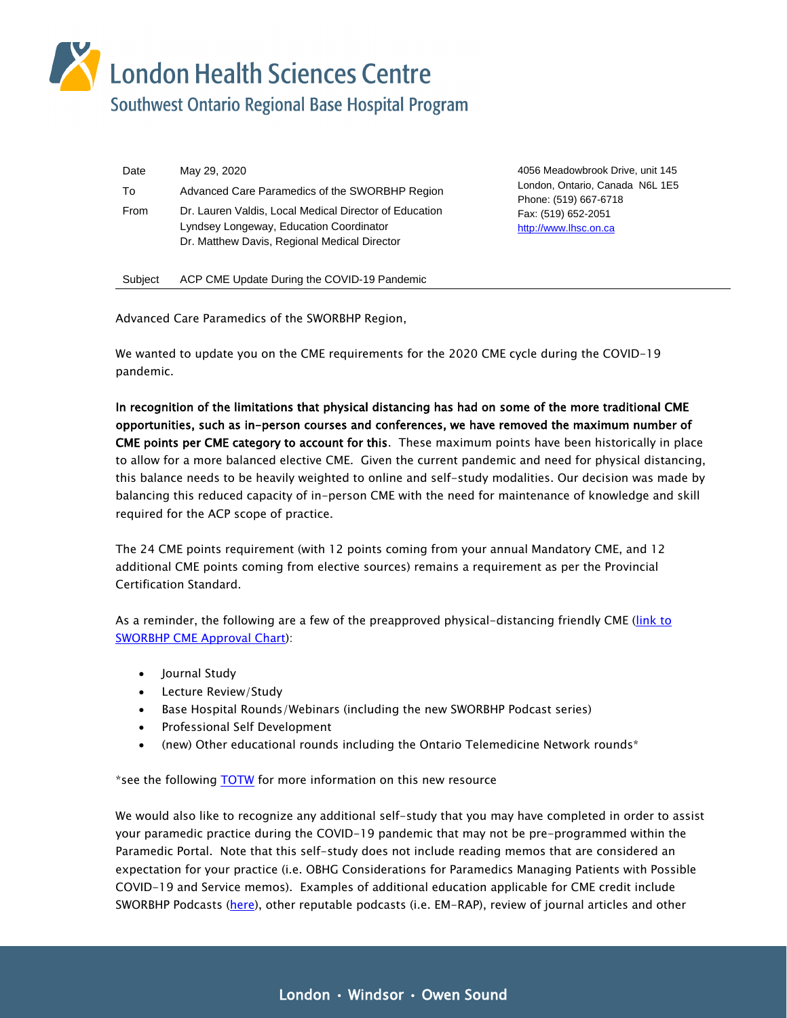London Health Sciences Centre<br>Southwest Ontario Regional Base Hospital Program

| Date | May 29, 2020                                                                                                                                      |
|------|---------------------------------------------------------------------------------------------------------------------------------------------------|
| To   | Advanced Care Paramedics of the SWORBHP Region                                                                                                    |
| From | Dr. Lauren Valdis, Local Medical Director of Education<br>Lyndsey Longeway, Education Coordinator<br>Dr. Matthew Davis, Regional Medical Director |

4056 Meadowbrook Drive, unit 145 London, Ontario, Canada N6L 1E5 Phone: (519) 667-6718 Fax: (519) 652-2051 [http://www.lhsc.on.ca](http://www.lhsc.on.ca/)

Subject ACP CME Update During the COVID-19 Pandemic

Advanced Care Paramedics of the SWORBHP Region,

We wanted to update you on the CME requirements for the 2020 CME cycle during the COVID-19 pandemic.

In recognition of the limitations that physical distancing has had on some of the more traditional CME opportunities, such as in-person courses and conferences, we have removed the maximum number of CME points per CME category to account for this. These maximum points have been historically in place to allow for a more balanced elective CME. Given the current pandemic and need for physical distancing, this balance needs to be heavily weighted to online and self-study modalities. Our decision was made by balancing this reduced capacity of in-person CME with the need for maintenance of knowledge and skill required for the ACP scope of practice.

The 24 CME points requirement (with 12 points coming from your annual Mandatory CME, and 12 additional CME points coming from elective sources) remains a requirement as per the Provincial Certification Standard.

As a reminder, the following are a few of the preapproved physical-distancing friendly CME [\(link to](https://www.lhsc.on.ca/media/8180/download)  [SWORBHP CME Approval Chart\)](https://www.lhsc.on.ca/media/8180/download):

- Journal Study
- Lecture Review/Study
- Base Hospital Rounds/Webinars (including the new SWORBHP Podcast series)
- Professional Self Development
- (new) Other educational rounds including the Ontario Telemedicine Network rounds\*

\*see the following [TOTW](https://askmac.sworbhp.ca/2943) for more information on this new resource

We would also like to recognize any additional self-study that you may have completed in order to assist your paramedic practice during the COVID-19 pandemic that may not be pre-programmed within the Paramedic Portal. Note that this self-study does not include reading memos that are considered an expectation for your practice (i.e. OBHG Considerations for Paramedics Managing Patients with Possible COVID-19 and Service memos). Examples of additional education applicable for CME credit include SWORBHP Podcasts [\(here\)](https://www.lhsc.on.ca/southwest-ontario-regional-base-hospital-program/sworbhp-podcasts), other reputable podcasts (i.e. EM-RAP), review of journal articles and other